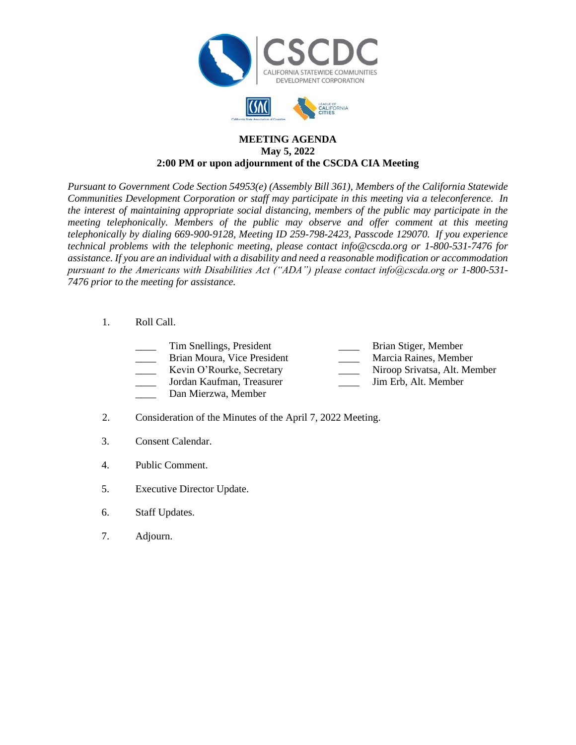



## **MEETING AGENDA May 5, 2022 2:00 PM or upon adjournment of the CSCDA CIA Meeting**

*Pursuant to Government Code Section 54953(e) (Assembly Bill 361), Members of the California Statewide Communities Development Corporation or staff may participate in this meeting via a teleconference. In the interest of maintaining appropriate social distancing, members of the public may participate in the meeting telephonically. Members of the public may observe and offer comment at this meeting telephonically by dialing 669-900-9128, Meeting ID 259-798-2423, Passcode 129070. If you experience technical problems with the telephonic meeting, please contact info@cscda.org or 1-800-531-7476 for assistance. If you are an individual with a disability and need a reasonable modification or accommodation pursuant to the Americans with Disabilities Act ("ADA") please contact info@cscda.org or 1-800-531- 7476 prior to the meeting for assistance.*

- 1. Roll Call.
	- Tim Snellings, President **Example 2** Brian Stiger, Member
	- Brian Moura, Vice President Marcia Raines, Member
	- \_\_\_\_ Kevin O'Rourke, Secretary \_\_\_\_ Niroop Srivatsa, Alt. Member
	- \_\_\_\_ Jordan Kaufman, Treasurer \_\_\_\_ Jim Erb, Alt. Member
	-
	- Dan Mierzwa, Member
- 2. Consideration of the Minutes of the April 7, 2022 Meeting.
- 3. Consent Calendar.
- 4. Public Comment.
- 5. Executive Director Update.
- 6. Staff Updates.
- 7. Adjourn.